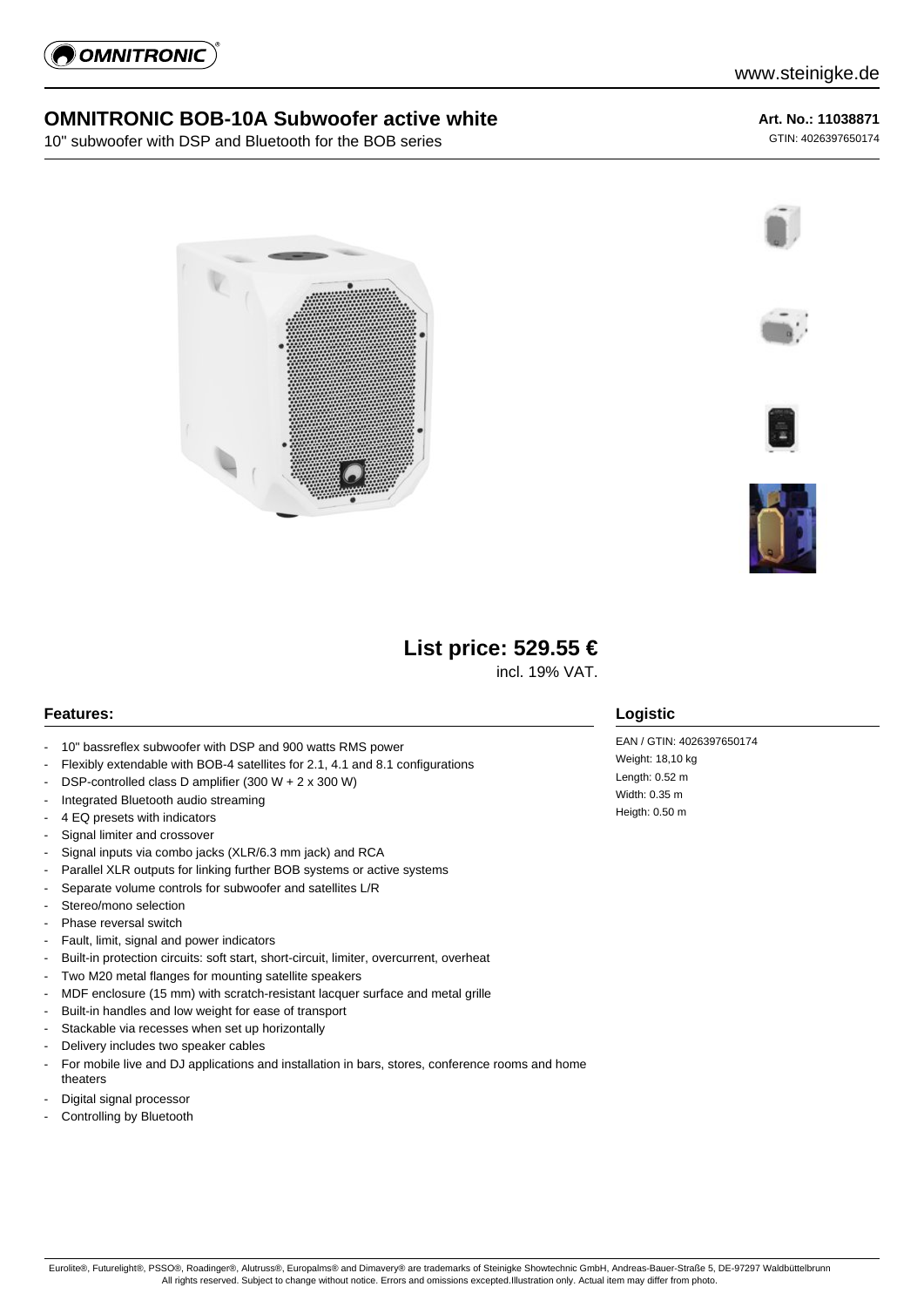

### **OMNITRONIC BOB-10A Subwoofer active white**

10" subwoofer with DSP and Bluetooth for the BOB series

#### **Art. No.: 11038871**

GTIN: 4026397650174











# **List price: 529.55 €**

incl. 19% VAT.

#### **Features:**

- 10" bassreflex subwoofer with DSP and 900 watts RMS power
- Flexibly extendable with BOB-4 satellites for 2.1, 4.1 and 8.1 configurations
- DSP-controlled class D amplifier (300 W + 2 x 300 W)
- Integrated Bluetooth audio streaming
- 4 EQ presets with indicators
- Signal limiter and crossover
- Signal inputs via combo jacks (XLR/6.3 mm jack) and RCA
- Parallel XLR outputs for linking further BOB systems or active systems
- Separate volume controls for subwoofer and satellites L/R
- Stereo/mono selection
- Phase reversal switch
- Fault, limit, signal and power indicators
- Built-in protection circuits: soft start, short-circuit, limiter, overcurrent, overheat
- Two M20 metal flanges for mounting satellite speakers
- MDF enclosure (15 mm) with scratch-resistant lacquer surface and metal grille
- Built-in handles and low weight for ease of transport
- Stackable via recesses when set up horizontally
- Delivery includes two speaker cables
- For mobile live and DJ applications and installation in bars, stores, conference rooms and home theaters
- Digital signal processor
- Controlling by Bluetooth

#### **Logistic**

EAN / GTIN: 4026397650174 Weight: 18,10 kg Length: 0.52 m Width: 0.35 m Heigth: 0.50 m

Eurolite®, Futurelight®, PSSO®, Roadinger®, Alutruss®, Europalms® and Dimavery® are trademarks of Steinigke Showtechnic GmbH, Andreas-Bauer-Straße 5, DE-97297 Waldbüttelbrunn All rights reserved. Subject to change without notice. Errors and omissions excepted.Illustration only. Actual item may differ from photo.